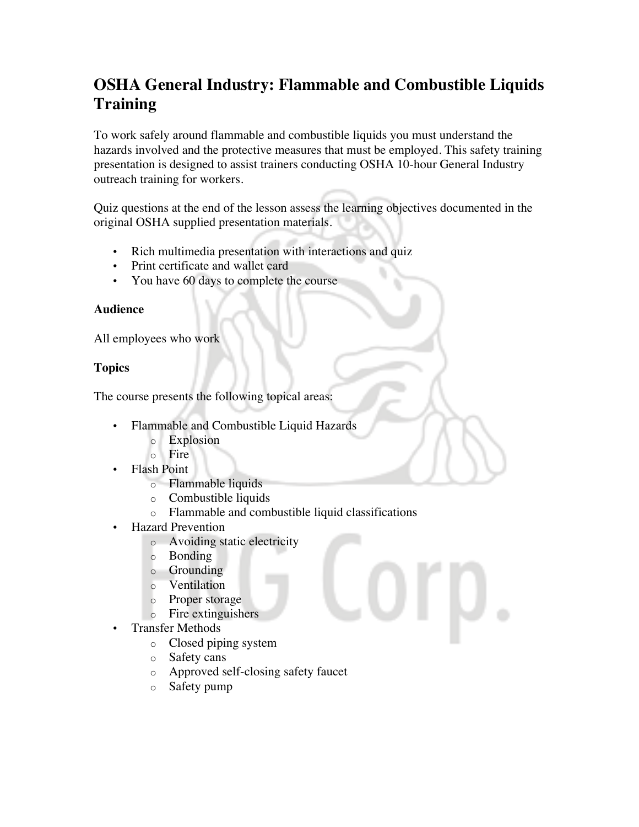# **OSHA General Industry: Flammable and Combustible Liquids Training**

To work safely around flammable and combustible liquids you must understand the hazards involved and the protective measures that must be employed. This safety training presentation is designed to assist trainers conducting OSHA 10-hour General Industry outreach training for workers.

Quiz questions at the end of the lesson assess the learning objectives documented in the original OSHA supplied presentation materials.

- Rich multimedia presentation with interactions and quiz
- Print certificate and wallet card
- You have 60 days to complete the course

### **Audience**

All employees who work

# **Topics**

The course presents the following topical areas:

- Flammable and Combustible Liquid Hazards
	- o Explosion
	- o Fire
- Flash Point
	- o Flammable liquids
	- o Combustible liquids
	- o Flammable and combustible liquid classifications
- Hazard Prevention
	- o Avoiding static electricity
	- o Bonding
	- o Grounding
	- o Ventilation
	- o Proper storage
	- o Fire extinguishers
- Transfer Methods
	- o Closed piping system
	- o Safety cans
	- o Approved self-closing safety faucet
	- o Safety pump